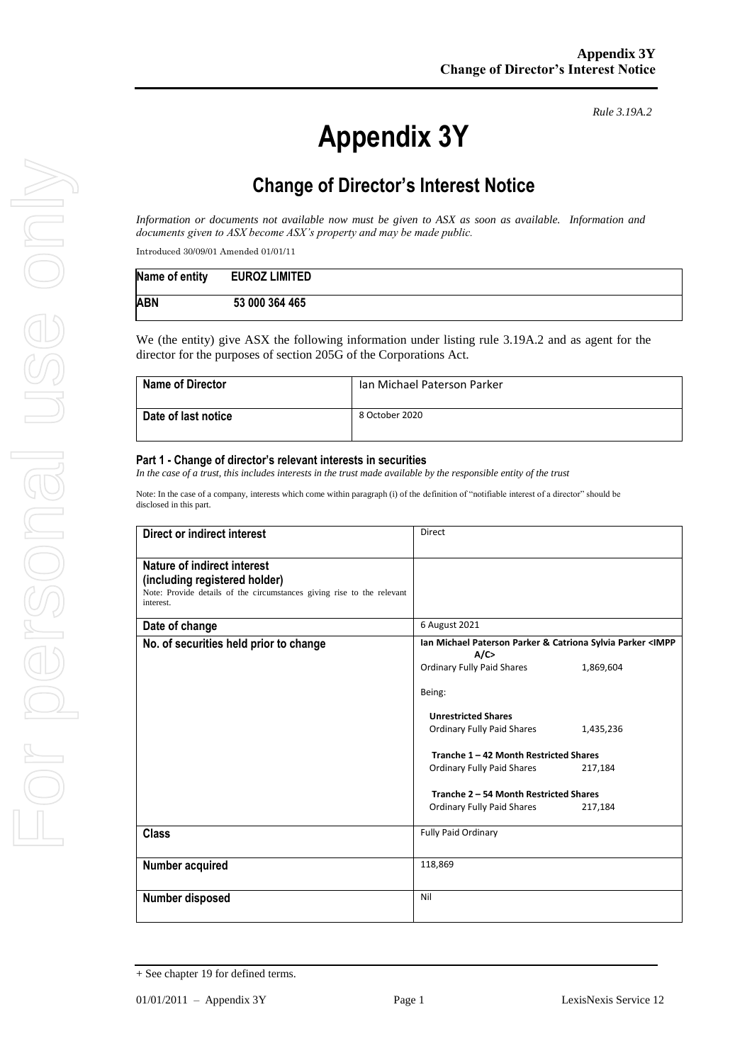# **Appendix 3Y**

*Rule 3.19A.2*

# **Change of Director's Interest Notice**

*Information or documents not available now must be given to ASX as soon as available. Information and documents given to ASX become ASX's property and may be made public.*

Introduced 30/09/01 Amended 01/01/11

| Name of entity | <b>EUROZ LIMITED</b> |
|----------------|----------------------|
| <b>ABN</b>     | 53 000 364 465       |

We (the entity) give ASX the following information under listing rule 3.19A.2 and as agent for the director for the purposes of section 205G of the Corporations Act.

| <b>Name of Director</b> | Ian Michael Paterson Parker |
|-------------------------|-----------------------------|
| Date of last notice     | 8 October 2020              |

#### **Part 1 - Change of director's relevant interests in securities**

*In the case of a trust, this includes interests in the trust made available by the responsible entity of the trust*

Note: In the case of a company, interests which come within paragraph (i) of the definition of "notifiable interest of a director" should be disclosed in this part.

| Direct or indirect interest                                                                                                                         | <b>Direct</b>                                                               |           |
|-----------------------------------------------------------------------------------------------------------------------------------------------------|-----------------------------------------------------------------------------|-----------|
| Nature of indirect interest<br>(including registered holder)<br>Note: Provide details of the circumstances giving rise to the relevant<br>interest. |                                                                             |           |
| Date of change                                                                                                                                      | 6 August 2021                                                               |           |
| No. of securities held prior to change                                                                                                              | Ian Michael Paterson Parker & Catriona Sylvia Parker <impp<br>A/C</impp<br> |           |
|                                                                                                                                                     | <b>Ordinary Fully Paid Shares</b>                                           | 1,869,604 |
|                                                                                                                                                     | Being:                                                                      |           |
|                                                                                                                                                     | <b>Unrestricted Shares</b>                                                  |           |
|                                                                                                                                                     | Ordinary Fully Paid Shares                                                  | 1,435,236 |
|                                                                                                                                                     | Tranche 1 - 42 Month Restricted Shares                                      |           |
|                                                                                                                                                     | Ordinary Fully Paid Shares                                                  | 217,184   |
|                                                                                                                                                     | Tranche 2 - 54 Month Restricted Shares                                      |           |
|                                                                                                                                                     | <b>Ordinary Fully Paid Shares</b>                                           | 217,184   |
| <b>Class</b>                                                                                                                                        | <b>Fully Paid Ordinary</b>                                                  |           |
| Number acquired                                                                                                                                     | 118,869                                                                     |           |
| Number disposed                                                                                                                                     | Nil                                                                         |           |

<sup>+</sup> See chapter 19 for defined terms.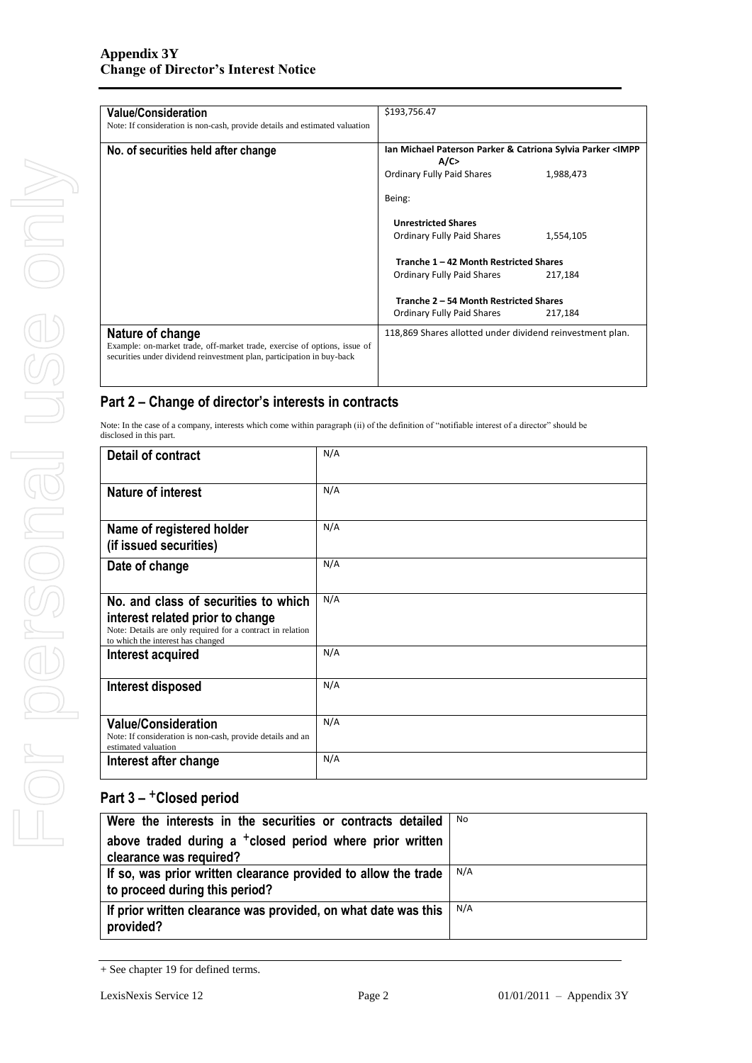| <b>Value/Consideration</b><br>Note: If consideration is non-cash, provide details and estimated valuation                                           | \$193,756.47                                                                |  |
|-----------------------------------------------------------------------------------------------------------------------------------------------------|-----------------------------------------------------------------------------|--|
| No. of securities held after change                                                                                                                 | Ian Michael Paterson Parker & Catriona Sylvia Parker <impp<br>A/C</impp<br> |  |
|                                                                                                                                                     | Ordinary Fully Paid Shares<br>1,988,473                                     |  |
|                                                                                                                                                     | Being:                                                                      |  |
|                                                                                                                                                     | <b>Unrestricted Shares</b>                                                  |  |
|                                                                                                                                                     | Ordinary Fully Paid Shares<br>1,554,105                                     |  |
|                                                                                                                                                     | Tranche 1 - 42 Month Restricted Shares                                      |  |
|                                                                                                                                                     | Ordinary Fully Paid Shares<br>217,184                                       |  |
|                                                                                                                                                     | Tranche 2 - 54 Month Restricted Shares                                      |  |
|                                                                                                                                                     | Ordinary Fully Paid Shares<br>217,184                                       |  |
| Nature of change                                                                                                                                    | 118,869 Shares allotted under dividend reinvestment plan.                   |  |
| Example: on-market trade, off-market trade, exercise of options, issue of<br>securities under dividend reinvestment plan, participation in buy-back |                                                                             |  |
|                                                                                                                                                     |                                                                             |  |

### **Part 2 – Change of director's interests in contracts**

Note: In the case of a company, interests which come within paragraph (ii) of the definition of "notifiable interest of a director" should be disclosed in this part.

| Detail of contract                                                                                                                                                          | N/A |
|-----------------------------------------------------------------------------------------------------------------------------------------------------------------------------|-----|
| <b>Nature of interest</b>                                                                                                                                                   | N/A |
| Name of registered holder<br>(if issued securities)                                                                                                                         | N/A |
| Date of change                                                                                                                                                              | N/A |
| No. and class of securities to which<br>interest related prior to change<br>Note: Details are only required for a contract in relation<br>to which the interest has changed | N/A |
| Interest acquired                                                                                                                                                           | N/A |
| Interest disposed                                                                                                                                                           | N/A |
| <b>Value/Consideration</b><br>Note: If consideration is non-cash, provide details and an<br>estimated valuation                                                             | N/A |
| Interest after change                                                                                                                                                       | N/A |

# **Part 3 –** +**Closed period**

| Were the interests in the securities or contracts detailed                                       | No  |
|--------------------------------------------------------------------------------------------------|-----|
| above traded during a <sup>+</sup> closed period where prior written<br>clearance was required?  |     |
| If so, was prior written clearance provided to allow the trade<br>to proceed during this period? | N/A |
| If prior written clearance was provided, on what date was this<br>provided?                      | N/A |

<sup>+</sup> See chapter 19 for defined terms.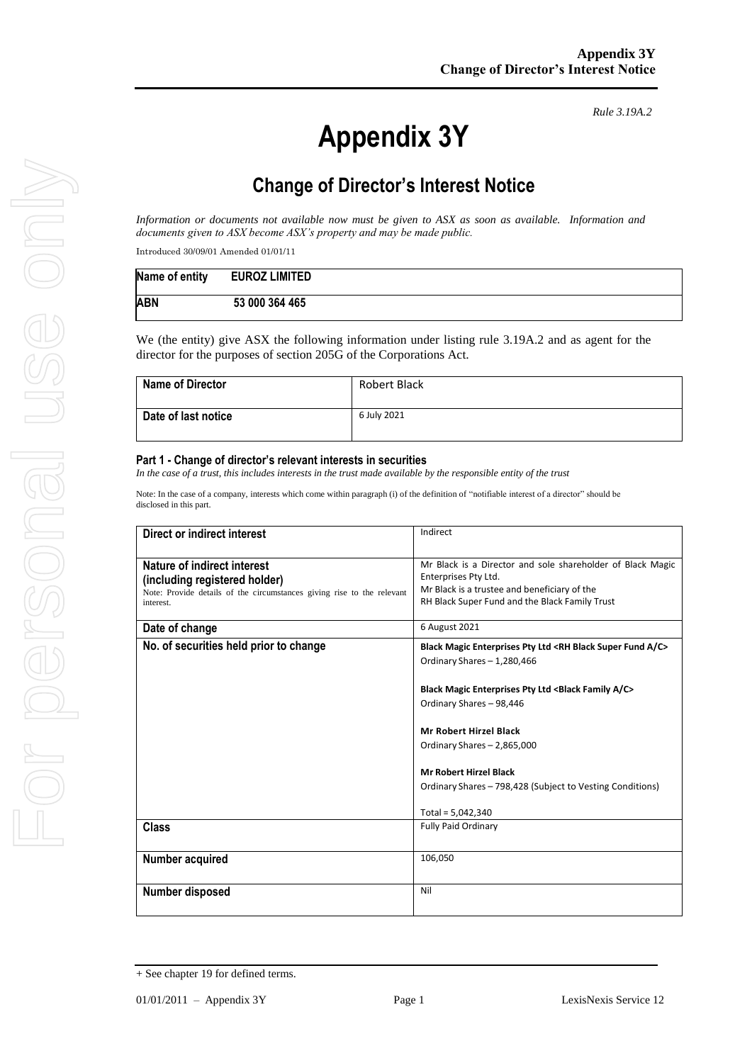# **Appendix 3Y**

*Rule 3.19A.2*

# **Change of Director's Interest Notice**

*Information or documents not available now must be given to ASX as soon as available. Information and documents given to ASX become ASX's property and may be made public.*

Introduced 30/09/01 Amended 01/01/11

| Name of entity | <b>EUROZ LIMITED</b> |
|----------------|----------------------|
| <b>ABN</b>     | 53 000 364 465       |

We (the entity) give ASX the following information under listing rule 3.19A.2 and as agent for the director for the purposes of section 205G of the Corporations Act.

| <b>Name of Director</b> | Robert Black |
|-------------------------|--------------|
| Date of last notice     | 6 July 2021  |

#### **Part 1 - Change of director's relevant interests in securities**

*In the case of a trust, this includes interests in the trust made available by the responsible entity of the trust*

Note: In the case of a company, interests which come within paragraph (i) of the definition of "notifiable interest of a director" should be disclosed in this part.

| Direct or indirect interest                                                                                                                         | Indirect                                                                                                                                                                             |
|-----------------------------------------------------------------------------------------------------------------------------------------------------|--------------------------------------------------------------------------------------------------------------------------------------------------------------------------------------|
| Nature of indirect interest<br>(including registered holder)<br>Note: Provide details of the circumstances giving rise to the relevant<br>interest. | Mr Black is a Director and sole shareholder of Black Magic<br>Enterprises Pty Ltd.<br>Mr Black is a trustee and beneficiary of the<br>RH Black Super Fund and the Black Family Trust |
| Date of change                                                                                                                                      | 6 August 2021                                                                                                                                                                        |
| No. of securities held prior to change                                                                                                              | Black Magic Enterprises Pty Ltd <rh a="" black="" c="" fund="" super=""><br/>Ordinary Shares - 1,280,466</rh>                                                                        |
|                                                                                                                                                     | Black Magic Enterprises Pty Ltd <black a="" c="" family=""><br/>Ordinary Shares - 98,446</black>                                                                                     |
|                                                                                                                                                     | <b>Mr Robert Hirzel Black</b><br>Ordinary Shares - 2,865,000                                                                                                                         |
|                                                                                                                                                     | <b>Mr Robert Hirzel Black</b><br>Ordinary Shares - 798,428 (Subject to Vesting Conditions)                                                                                           |
|                                                                                                                                                     | Total = $5,042,340$                                                                                                                                                                  |
| Class                                                                                                                                               | <b>Fully Paid Ordinary</b>                                                                                                                                                           |
| Number acquired                                                                                                                                     | 106,050                                                                                                                                                                              |
| Number disposed                                                                                                                                     | Nil                                                                                                                                                                                  |

<sup>+</sup> See chapter 19 for defined terms.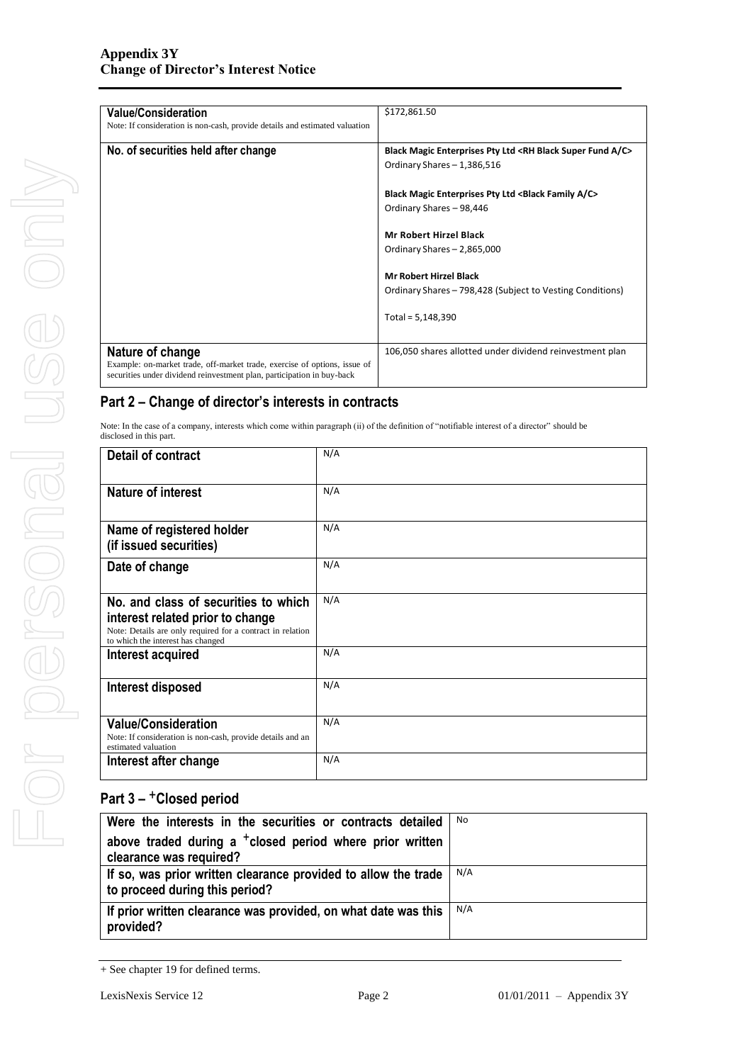| <b>Value/Consideration</b>                                                  | \$172,861.50                                                                  |
|-----------------------------------------------------------------------------|-------------------------------------------------------------------------------|
| Note: If consideration is non-cash, provide details and estimated valuation |                                                                               |
| No. of securities held after change                                         | Black Magic Enterprises Pty Ltd <rh a="" black="" c="" fund="" super=""></rh> |
|                                                                             |                                                                               |
|                                                                             | Ordinary Shares - 1,386,516                                                   |
|                                                                             | <b>Black Magic Enterprises Pty Ltd <black a="" c="" family=""></black></b>    |
|                                                                             |                                                                               |
|                                                                             | Ordinary Shares - 98,446                                                      |
|                                                                             | <b>Mr Robert Hirzel Black</b>                                                 |
|                                                                             | Ordinary Shares - 2,865,000                                                   |
|                                                                             | <b>Mr Robert Hirzel Black</b>                                                 |
|                                                                             | Ordinary Shares – 798,428 (Subject to Vesting Conditions)                     |
|                                                                             |                                                                               |
|                                                                             | Total = $5,148,390$                                                           |
|                                                                             |                                                                               |
| Nature of change                                                            | 106,050 shares allotted under dividend reinvestment plan                      |
| Example: on-market trade, off-market trade, exercise of options, issue of   |                                                                               |
| securities under dividend reinvestment plan, participation in buy-back      |                                                                               |

#### **Part 2 – Change of director's interests in contracts**

Note: In the case of a company, interests which come within paragraph (ii) of the definition of "notifiable interest of a director" should be disclosed in this part.

| Detail of contract                                                                                                                                                          | N/A |
|-----------------------------------------------------------------------------------------------------------------------------------------------------------------------------|-----|
| <b>Nature of interest</b>                                                                                                                                                   | N/A |
| Name of registered holder<br>(if issued securities)                                                                                                                         | N/A |
| Date of change                                                                                                                                                              | N/A |
| No. and class of securities to which<br>interest related prior to change<br>Note: Details are only required for a contract in relation<br>to which the interest has changed | N/A |
| Interest acquired                                                                                                                                                           | N/A |
| Interest disposed                                                                                                                                                           | N/A |
| <b>Value/Consideration</b><br>Note: If consideration is non-cash, provide details and an<br>estimated valuation                                                             | N/A |
| Interest after change                                                                                                                                                       | N/A |

# **Part 3 –** +**Closed period**

| Were the interests in the securities or contracts detailed           | No. |
|----------------------------------------------------------------------|-----|
| above traded during a <sup>+</sup> closed period where prior written |     |
| clearance was required?                                              |     |
| If so, was prior written clearance provided to allow the trade       | N/A |
| to proceed during this period?                                       |     |
| If prior written clearance was provided, on what date was this       | N/A |
| provided?                                                            |     |

<sup>+</sup> See chapter 19 for defined terms.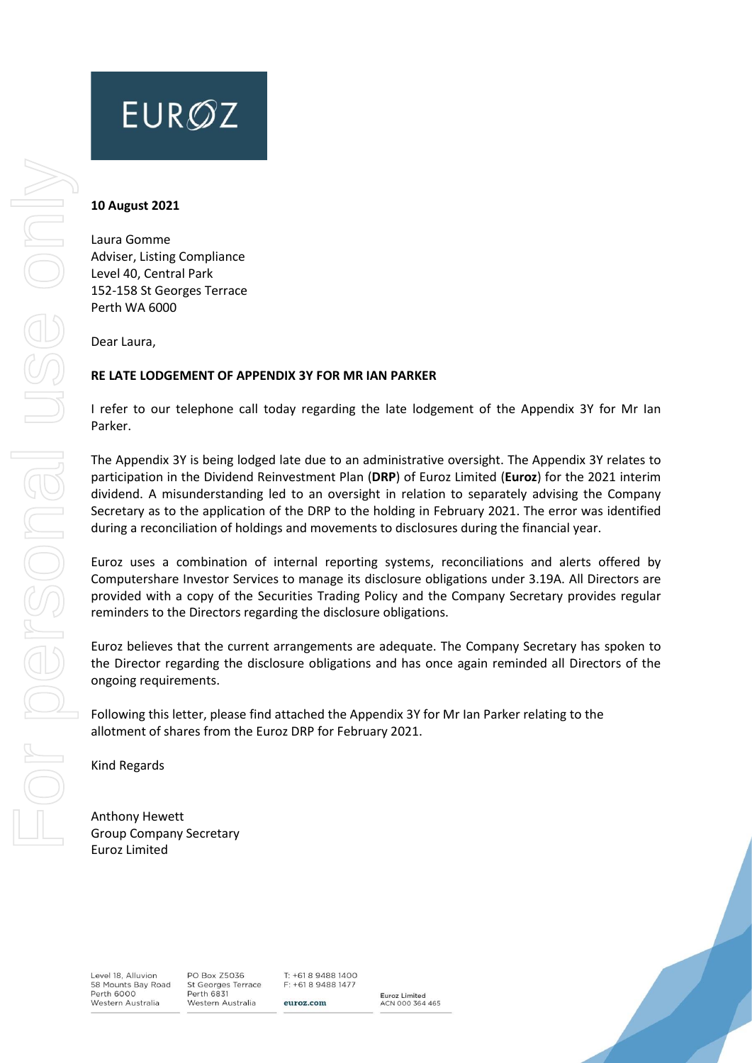# **EUROZ**

#### **10 August 2021**

Laura Gomme Adviser, Listing Compliance Level 40, Central Park 152-158 St Georges Terrace Perth WA 6000

Dear Laura,

#### **RE LATE LODGEMENT OF APPENDIX 3Y FOR MR IAN PARKER**

I refer to our telephone call today regarding the late lodgement of the Appendix 3Y for Mr Ian Parker.

The Appendix 3Y is being lodged late due to an administrative oversight. The Appendix 3Y relates to participation in the Dividend Reinvestment Plan (**DRP**) of Euroz Limited (**Euroz**) for the 2021 interim dividend. A misunderstanding led to an oversight in relation to separately advising the Company Secretary as to the application of the DRP to the holding in February 2021. The error was identified during a reconciliation of holdings and movements to disclosures during the financial year.

Euroz uses a combination of internal reporting systems, reconciliations and alerts offered by Computershare Investor Services to manage its disclosure obligations under 3.19A. All Directors are provided with a copy of the Securities Trading Policy and the Company Secretary provides regular reminders to the Directors regarding the disclosure obligations.

Euroz believes that the current arrangements are adequate. The Company Secretary has spoken to the Director regarding the disclosure obligations and has once again reminded all Directors of the ongoing requirements.

Following this letter, please find attached the Appendix 3Y for Mr Ian Parker relating to the allotment of shares from the Euroz DRP for February 2021.

Kind Regards

Anthony Hewett Group Company Secretary Euroz Limited

Level 18, Alluvion 58 Mounts Bay Road<br>Perth 6000 Western Australia

PO Box Z5036 St Georges Terrace<br>Perth 6831 Western Australia

 $T: +61894881400$ F: +61 8 9488 1477 euroz.com

Euroz Limited<br>ACN 000 364 465

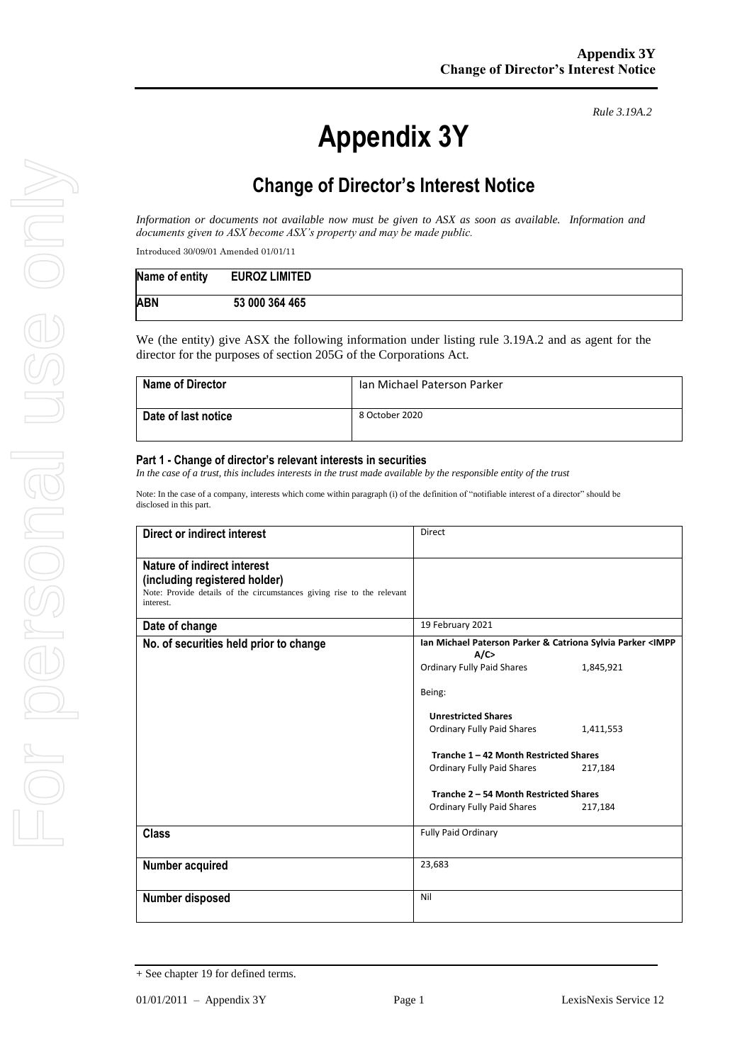# **Appendix 3Y**

*Rule 3.19A.2*

# **Change of Director's Interest Notice**

*Information or documents not available now must be given to ASX as soon as available. Information and documents given to ASX become ASX's property and may be made public.*

Introduced 30/09/01 Amended 01/01/11

| Name of entity | <b>EUROZ LIMITED</b> |
|----------------|----------------------|
| <b>ABN</b>     | 53 000 364 465       |

We (the entity) give ASX the following information under listing rule 3.19A.2 and as agent for the director for the purposes of section 205G of the Corporations Act.

| <b>Name of Director</b> | Ian Michael Paterson Parker |
|-------------------------|-----------------------------|
| Date of last notice     | 8 October 2020              |

#### **Part 1 - Change of director's relevant interests in securities**

*In the case of a trust, this includes interests in the trust made available by the responsible entity of the trust*

Note: In the case of a company, interests which come within paragraph (i) of the definition of "notifiable interest of a director" should be disclosed in this part.

| Direct or indirect interest                                                                                                                         | <b>Direct</b>                                                               |           |
|-----------------------------------------------------------------------------------------------------------------------------------------------------|-----------------------------------------------------------------------------|-----------|
| Nature of indirect interest<br>(including registered holder)<br>Note: Provide details of the circumstances giving rise to the relevant<br>interest. |                                                                             |           |
| Date of change                                                                                                                                      | 19 February 2021                                                            |           |
| No. of securities held prior to change                                                                                                              | Ian Michael Paterson Parker & Catriona Sylvia Parker <impp<br>A/C</impp<br> |           |
|                                                                                                                                                     | <b>Ordinary Fully Paid Shares</b>                                           | 1,845,921 |
|                                                                                                                                                     | Being:                                                                      |           |
|                                                                                                                                                     | <b>Unrestricted Shares</b>                                                  |           |
|                                                                                                                                                     | Ordinary Fully Paid Shares                                                  | 1,411,553 |
|                                                                                                                                                     | Tranche 1 - 42 Month Restricted Shares                                      |           |
|                                                                                                                                                     | Ordinary Fully Paid Shares                                                  | 217,184   |
|                                                                                                                                                     | Tranche 2 - 54 Month Restricted Shares                                      |           |
|                                                                                                                                                     | <b>Ordinary Fully Paid Shares</b>                                           | 217,184   |
| <b>Class</b>                                                                                                                                        | <b>Fully Paid Ordinary</b>                                                  |           |
| Number acquired                                                                                                                                     | 23,683                                                                      |           |
| Number disposed                                                                                                                                     | Nil                                                                         |           |

<sup>+</sup> See chapter 19 for defined terms.